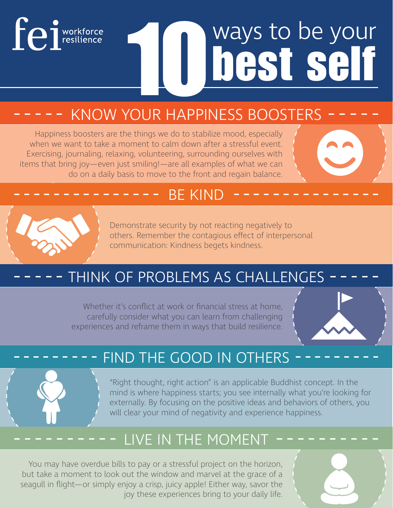## **Fe** i workforce

# ways to be your<br>**hest self**

## KNOW YOUR HAPPINESS BOOSTERS

Happiness boosters are the things we do to stabilize mood, especially when we want to take a moment to calm down after a stressful event. Exercising, journaling, relaxing, volunteering, surrounding ourselves with items that bring joy—even just smiling!—are all examples of what we can do on a daily basis to move to the front and regain balance.

#### BE KIND



Demonstrate security by not reacting negatively to others. Remember the contagious effect of interpersonal communication: Kindness begets kindness.

### THINK OF PROBLEMS AS CHALLENGES

Whether it's conflict at work or financial stress at home, carefully consider what you can learn from challenging experiences and reframe them in ways that build resilience.



#### FIND THE GOOD IN OTHERS

"Right thought, right action" is an applicable Buddhist concept. In the mind is where happiness starts; you see internally what you're looking for externally. By focusing on the positive ideas and behaviors of others, you will clear your mind of negativity and experience happiness.

### LIVE IN THE MOMENT

You may have overdue bills to pay or a stressful project on the horizon, but take a moment to look out the window and marvel at the grace of a seagull in flight—or simply enjoy a crisp, juicy apple! Either way, savor the joy these experiences bring to your daily life.